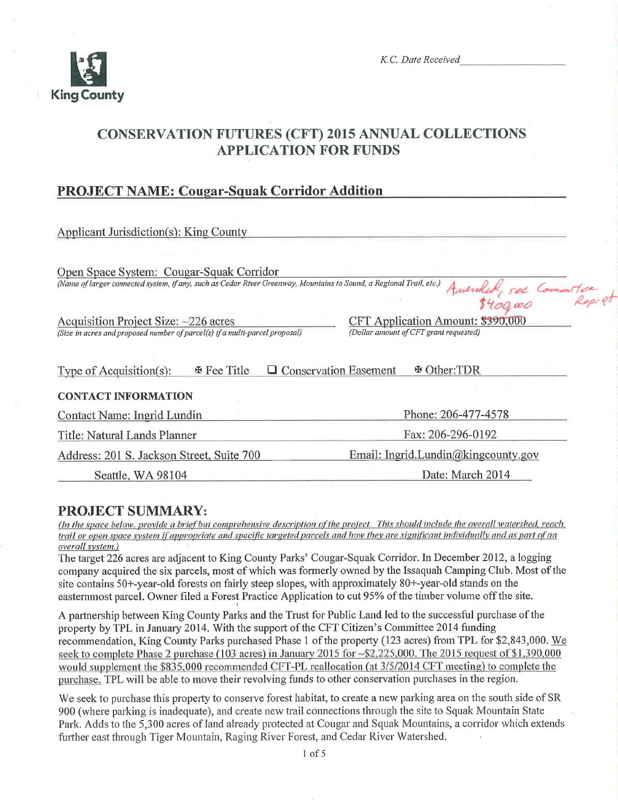

K.C. Date Received

# **CONSERVATION FUTURES (CFT) 2015 ANNUAL COLLECTIONS APPLICATION FOR FUNDS**

## **PROJECT NAME: Cougar-Squak Corridor Addition**

| Applicant Jurisdiction(s): King County                                                                              |                                        |  |
|---------------------------------------------------------------------------------------------------------------------|----------------------------------------|--|
|                                                                                                                     |                                        |  |
| Open Space System: Cougar-Squak Corridor                                                                            |                                        |  |
| (Name of larger connected system, if any, such as Cedar River Greenway, Mountains to Sound, a Regional Trail, etc.) | Amended, see Committee                 |  |
|                                                                                                                     |                                        |  |
| Acquisition Project Size: $\sim$ 226 acres                                                                          | CFT Application Amount: \$390,000      |  |
| (Size in acres and proposed number of parcel(s) if a multi-parcel proposal)                                         | (Dollar amount of CFT grant requested) |  |
|                                                                                                                     |                                        |  |
| <b>Conservation Easement</b><br>※ Fee Title<br>Type of Acquisition(s):                                              | H Other:TDR                            |  |
| <b>CONTACT INFORMATION</b>                                                                                          |                                        |  |
|                                                                                                                     |                                        |  |
| Contact Name: Ingrid Lundin                                                                                         | Phone: 206-477-4578                    |  |
| Title: Natural Lands Planner                                                                                        | Fax: 206-296-0192                      |  |
| Address: 201 S. Jackson Street, Suite 700                                                                           | Email: Ingrid.Lundin@kingcounty.gov    |  |
| Seattle, WA 98104                                                                                                   | Date: March 2014                       |  |

## **PROJECT SUMMARY:**

(In the space below, provide a brief but comprehensive description of the project. This should include the overall watershed, reach, trail or open space system if appropriate and specific targeted parcels and how they are significant individually and as part of an overall system.)

The target 226 acres are adjacent to King County Parks' Cougar-Squak Corridor. In December 2012, a logging company acquired the six parcels, most of which was formerly owned by the Issaquah Camping Club. Most of the site contains 50+-year-old forests on fairly steep slopes, with approximately 80+-year-old stands on the easternmost parcel. Owner filed a Forest Practice Application to cut 95% of the timber volume off the site.

A partnership between King County Parks and the Trust for Public Land led to the successful purchase of the property by TPL in January 2014. With the support of the CFT Citizen's Committee 2014 funding recommendation, King County Parks purchased Phase 1 of the property (123 acres) from TPL for \$2,843,000. We seek to complete Phase 2 purchase (103 acres) in January 2015 for ~\$2,225,000. The 2015 request of \$1,390,000 would supplement the \$835,000 recommended CFT-PL reallocation (at 3/5/2014 CFT meeting) to complete the purchase. TPL will be able to move their revolving funds to other conservation purchases in the region.

We seek to purchase this property to conserve forest habitat, to create a new parking area on the south side of SR 900 (where parking is inadequate), and create new trail connections through the site to Squak Mountain State Park. Adds to the 5,300 acres of land already protected at Cougar and Squak Mountains, a corridor which extends further east through Tiger Mountain, Raging River Forest, and Cedar River Watershed.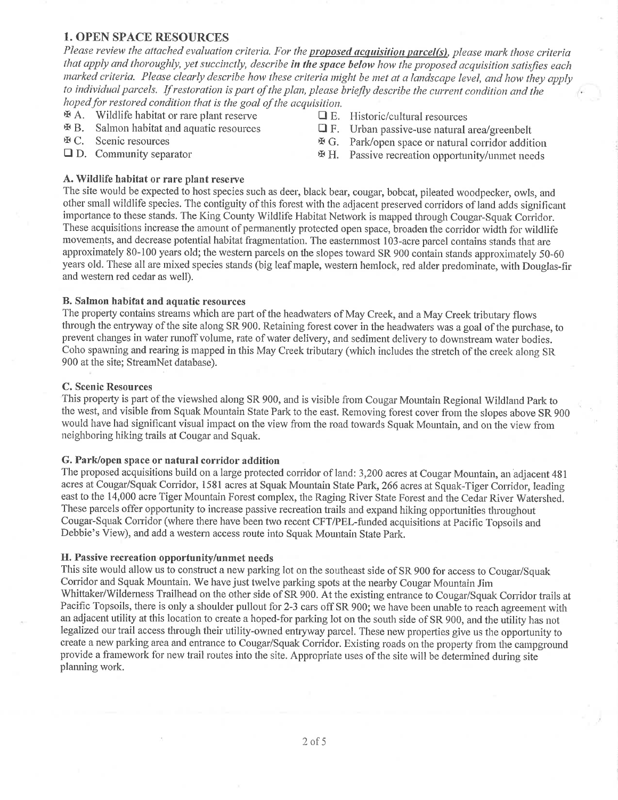### 1. OPEN SPACE RESOURCES

Please review the attached evaluation criteria. For the proposed acquisition parcel(s), please mark those criteria that apply and thoroughly, yet succinctly, describe in the space below how the proposed acquisition satisfies each marked criteria. Please clearly describe how these criteria might be met at a landscape level, and how they apply to individual parcels. If restoration is part of the plan, please briefly describe the current condition and the hoped for restored condition that is the goal of the acquisition.

- 
- $A.$  Wildlife habitat or rare plant reserve  $A.$  E. Historic/cultural resources  $A.$  Salmon habitat and aquatic resources  $A.$  E. Urban passive-use natural and aquatic resources
- 
- 
- 
- $\mathcal{F}$ B. Salmon habitat and aquatic resources  $\Box$  F. Urban passive-use natural area/greenbelt  $\mathcal{F}$  C. Scenic resources  $\Box$  F. Park/open space or natural corridor addition-
- **E** C. Scenic resources <br> **E** G. Park/open space or natural corridor addition <br> **E** D. Community separator <br> **E** H. Passive recreation opportunity/unmet needs
	- $H.$  Passive recreation opportunity/unmet needs

#### A. Wildlife habitat or rare plant reserve

The site would be expected to host species such as deer, black bear, cougar, bobcat, pileated woodpecker, owls, and other srnall wildlife species. The contiguity of this forest with the adjacent preserved conidors of land adds significant importance to these stands. The King County Wildlife Habitat Network is mapped through Cougar-Squak Corridor. These acquisitions increase the amount of permanently protected open space, broaden the corridor width for wildlife movements, and decrease potential habitat fragmentation. The easternmost 103-acre parcel contains stands that are approximately 80-100 years old; the western parcels on the slopes toward SR 900 contain stands approximately 50-60 years old. These all are mixed species stands (big leaf maple, western hemlock, red alder predominate, with Douglas-fir and westem red cedar as well).

#### B. Salmon habifat and aquatic resources

The property contains streams which are part of the headwaters of May Creek, and a May Creek tributary flows through the entryway of the site along SR 900. Retaining forest cover in the headwaters was a goal of the purchase, to prevent changes in water runoff volume, rate of water delivery, and sediment delivery to downstream water bodies. Coho spawning and rearing is mapped in this May Creek tributary (which includes the stretch of the creek along SR 900 at the site; StreamNet database).

#### C. Scenic Resources

This property is part of the viewshed along SR 900, and is visible from Cougar Mountain Regional Wildland Park to the west, and visible from Squak Mountain State Park to the east. Removing forest cover from the slopes above SR 900 would have had significant visual impact on the view from the road towards Squak Mountain, and on the view from neighboring hiking trails at Cougar and Squak.

#### G. Park/open space or natural corridor addition

The proposed acquisitions build on a large protected corridor of land: 3,200 acres at Cougar Mountain, an adjacent 481 acres at Cougar/Squak Corridor, 1581 acres at Squak Mountain State Park, 266 acres at Squak-Tiger Corridor, leading east to the 14,000 acre Tiger Mountain Forest complex, the Raging River State Forest and the Cedar River Watershed. These parcels offer opportunity to increase passive recreation trails and expand hiking opportunities throughout Cougar-Squak Conidor (where there have been two recent CFT/PEL-funded acquisitions at Pacific Topsoils and Debbie's View), and add a western access route into Squak Mountain State Park.

#### H. Passive recreation opportunity/unmet needs

This site would allow us to construct a new parking lot on the southeast side of SR 900 for access to Cougar/Squak Corridor and Squak Mountain. We have just twelve parking spots at the nearby Cougar Mountain Jim Whittaker/Wilderness Trailhead on the other side of SR 900. At the existing entrance to Cougar/Squak Coridor trails at Pacific Topsoils, there is only a shoulder pullout for 2-3 cars off SR 900; we have been unable to reach agreement with an adjacent utility at this location to create a hoped-for parking lot on the south side of SR 900, and the utility has not legalized our trail access through their utility-owned entryway parcel. These new properties give us the opportunity to create a new parking area and entrance to Cougar/Squak Corridor. Existing roads on the property from the campground provide a framework for new trail routes into the site. Appropriate uses of the site will be determined during site plamiing work.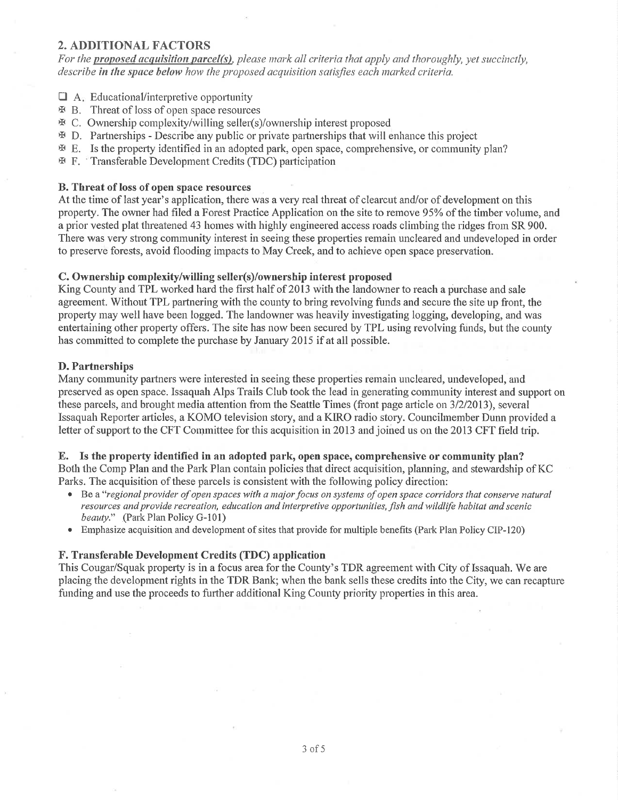### 2. ADDITIONAL FACTORS

For the proposed acquisition parcel(s), please mark all criteria that apply and thoroughly, yet succinctly, describe in the space below how the proposed acquisition satisfies each marked criteria.

- $\Box$  A. Educational/interpretive opportunity
- **EX B.** Threat of loss of open space resources
- rx c. Ownership complexity/willing seller(s)/ownership interest proposed
- $\mathbb F$  D. Partnerships Describe any public or private partnerships that will enhance this project
- E. Is the property identified in an adopted park, open space, comprehensive, or community plan?
- **F.** Transferable Development Credits (TDC) participation

#### B. Threat of loss of open space resources

At the time of last year's application, there was a very real threat of clearcut and/or of development on this property. The owner had filed a Forest Practice Application on the site to remove 95% of the timber volume, and a prior vested plat threatened 43 homes with highly engineered access roads climbing the ridges from SR 900. There was very strong community interest in seeing these properties remain uncleared and undeveloped in order to preserve forests, avoid flooding impacts to May Creek, and to achieve open space preservation.

#### C. Ownership complexity/willing seller(s)/ownership interest proposed

King County and TPL worked hard the first half of 2013 with the landowner to reach a purchase and sale agreement. Without TPL partnering with the county to bring revolving funds and secure the site up front, the property may well have been logged. The landowner was heavily investigating logging, developing, and was entertaining other property offers. The site has now been secured by TPL using revolving funds, but the county has committed to complete the purchase by January 2015 if at all possible.

#### D. Partnerships

Many community partners were interested in seeing these properties remain uncleared, undeveloped, and preserved as open space. Issaquah Alps Trails Club took the lead in generating community interest and support on these parcels, and brought media attention from the Seattle Times (front page article on  $3/2/2013$ ), several Issaquah Reporter articles, a KOMO television story, and a KIRO radio story. Councilmember Dunn provided a letter of support to the CFT Committee for this acquisition in 2013 and joined us on the 2013 CFT field trip.

#### E. Is the property identifïed in an adopted park, open space, comprehensive or community plan? Both the Comp Plan and the Park Plan contain policies that direct acquisition, planning, and stewardship of KC

Parks. The acquisition of these parcels is consistent with the following policy direction:

- Be a "regional provider of open spaces with a major focus on systems of open space corridors that conserve natural resources and provide recreation, education and interpretive opportunities, fish and wildlife habitat and scenic beauty." (Park Plan Policy G-101)
- . Emphasize acquisition and development of sites that provide for multiple benefits (Park Plan Policy CIP-120)

#### F. Transferable Development Credits (TDC) application

This Cougar/Squak property is in a focus area for the County's TDR agreement with City of Issaquah. We are placing the development rights in the TDR Bank; when the bank sells these credits into the City, we can recapture funding and use the proceeds to further additional King County priority properties in this area.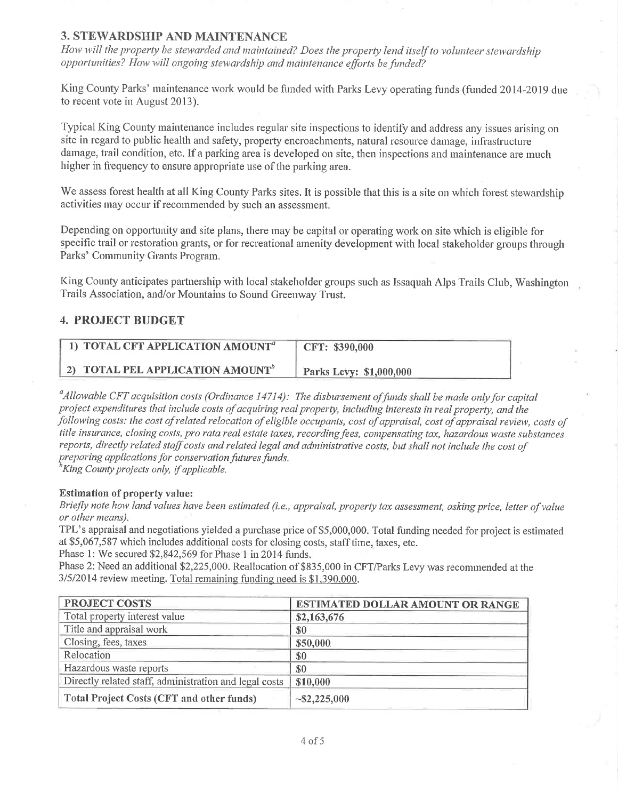## 3. STEWARDSHIP AND MAINTENANCE

How will the property be stewarded and maintained? Does the property lend itself to volunteer stewardship opportunities? How will ongoing stewardship and maintenance efforts be funded?

King County Parks' maintenance work would be funded with Parks Levy operating funds (funded 2014-2019 due to recent vote in August 2013).

Typical King County maintenance includes regular site inspections to identify and address any issues arising on site in regard to public health and safety, property encroachments, natural resource damage, infrastructure damage, trail condition, etc. If a parking area is developed on site, then inspections and maintenance are much higher in frequency to ensure appropriate use of the parking area.

We assess forest health at all King County Parks sites. It is possible that this is a site on which forest stewardship activities may occur if recommended by such an assessment.

Depending on opportunity and site plans, there may be capital or operating work on site which is eligible for specific trail or restoration grants, or for recreational amenity development with local stakeholder groups through Parks' Community Grants Program.

King County anticipates partnership with local stakeholder groups such as Issaquah Alps Trails Club, Washington Trails Association, and/or Mountains to Sound Greenway Trust.

## **4. PROJECT BUDGET**

| 1) TOTAL CFT APPLICATION AMOUNT <sup>a</sup> | CFT: \$390,000          |
|----------------------------------------------|-------------------------|
| 2) TOTAL PEL APPLICATION AMOUNT <sup>b</sup> | Parks Levy: \$1,000,000 |

<sup>a</sup> Allowable CFT acquisition costs (Ordinance 14714): The disbursement of funds shall be made only for capital project expenditures that include costs of acquiring real property, including interests in real property, and the following costs: the cost of related relocation of eligible occupants, cost of appraisal, cost of appraisal review, costs of title insurance, closing costs, pro rata real estate taxes, recording fees, compensating tax, hazardous waste substances reports, directly related staff costs and related legal and administrative costs, but shall not include the cost of preparing applications for conservation futures funds.

King County projects only, if applicable.

#### **Estimation of property value:**

Briefly note how land values have been estimated (i.e., appraisal, property tax assessment, asking price, letter of value or other means).

TPL's appraisal and negotiations yielded a purchase price of \$5,000,000. Total funding needed for project is estimated at \$5,067,587 which includes additional costs for closing costs, staff time, taxes, etc.

Phase 1: We secured \$2,842,569 for Phase 1 in 2014 funds.

Phase 2: Need an additional \$2,225,000. Reallocation of \$835,000 in CFT/Parks Levy was recommended at the 3/5/2014 review meeting. Total remaining funding need is \$1,390,000.

| <b>PROJECT COSTS</b>                                   | <b>ESTIMATED DOLLAR AMOUNT OR RANGE</b> |  |
|--------------------------------------------------------|-----------------------------------------|--|
| Total property interest value                          | \$2,163,676                             |  |
| Title and appraisal work                               | \$0                                     |  |
| Closing, fees, taxes                                   | \$50,000                                |  |
| Relocation                                             | \$0                                     |  |
| Hazardous waste reports                                | <b>SO</b>                               |  |
| Directly related staff, administration and legal costs | \$10,000                                |  |
| <b>Total Project Costs (CFT and other funds)</b>       | $\sim$ \$2,225,000                      |  |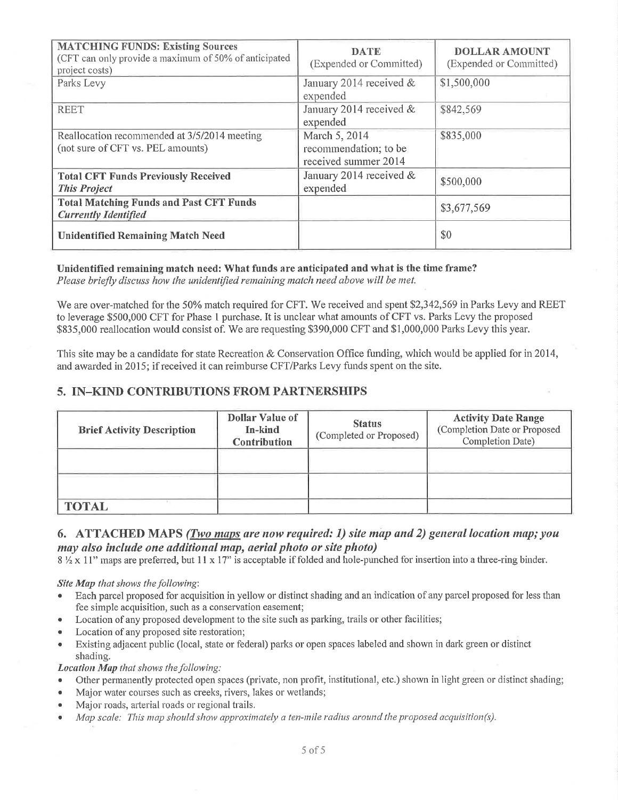| <b>MATCHING FUNDS: Existing Sources</b><br>(CFT can only provide a maximum of 50% of anticipated<br>project costs) | <b>DATE</b><br>(Expended or Committed)                         | <b>DOLLAR AMOUNT</b><br>(Expended or Committed) |
|--------------------------------------------------------------------------------------------------------------------|----------------------------------------------------------------|-------------------------------------------------|
| Parks Levy                                                                                                         | January 2014 received &<br>expended                            | \$1,500,000                                     |
| <b>REET</b>                                                                                                        | January 2014 received &<br>expended                            | \$842,569                                       |
| Reallocation recommended at 3/5/2014 meeting<br>(not sure of CFT vs. PEL amounts)                                  | March 5, 2014<br>recommendation; to be<br>received summer 2014 | \$835,000                                       |
| <b>Total CFT Funds Previously Received</b><br><b>This Project</b>                                                  | January 2014 received &<br>expended                            | \$500,000                                       |
| <b>Total Matching Funds and Past CFT Funds</b><br><b>Currently Identified</b>                                      |                                                                | \$3,677,569                                     |
| <b>Unidentified Remaining Match Need</b>                                                                           |                                                                | \$0                                             |

#### Unidentified remaining match need: What funds are anticipated and what is the time frame? Please briefly discuss how the unidentified remaining match need above will be met.

We are over-matched for the 50% match required for CFT. We received and spent \$2,342,569 in Parks Levy and REET to leverage \$500,000 CFT for Phase 1 purchase. It is unclear what amounts of CFT vs. Parks Levy the proposed \$835,000 reallocation would consist of. We are requesting \$390,000 CFT and \$1,000,000 Parks Levy this year.

This site may be a candidate for state Recreation & Conservation Office funding, which would be applied for in 2014, and awarded in 2015; if received it can reimburse CFT/Parks Levy funds spent on the site.

## **5. IN-KIND CONTRIBUTIONS FROM PARTNERSHIPS**

| <b>Brief Activity Description</b> | Dollar Value of<br>In-kind<br><b>Contribution</b> | <b>Status</b><br>(Completed or Proposed) | <b>Activity Date Range</b><br>(Completion Date or Proposed<br>Completion Date) |
|-----------------------------------|---------------------------------------------------|------------------------------------------|--------------------------------------------------------------------------------|
|                                   |                                                   |                                          |                                                                                |
| <b>TOTAL</b>                      |                                                   |                                          |                                                                                |

### 6. ATTACHED MAPS (*Two maps are now required: 1*) site map and 2) general location map; you may also include one additional map, aerial photo or site photo)

 $8\frac{1}{2} \times 11$ " maps are preferred, but 11 x 17" is acceptable if folded and hole-punched for insertion into a three-ring binder.

#### Site Map that shows the following:

- Each parcel proposed for acquisition in yellow or distinct shading and an indication of any parcel proposed for less than fee simple acquisition, such as a conservation easement;
- Location of any proposed development to the site such as parking, trails or other facilities;
- Location of any proposed site restoration;
- $\bullet$ Existing adjacent public (local, state or federal) parks or open spaces labeled and shown in dark green or distinct shading.

Location Map that shows the following:

- Other permanently protected open spaces (private, non profit, institutional, etc.) shown in light green or distinct shading;
- Major water courses such as creeks, rivers, lakes or wetlands;  $\bullet$
- Major roads, arterial roads or regional trails.  $\bullet$
- Map scale: This map should show approximately a ten-mile radius around the proposed acquisition(s).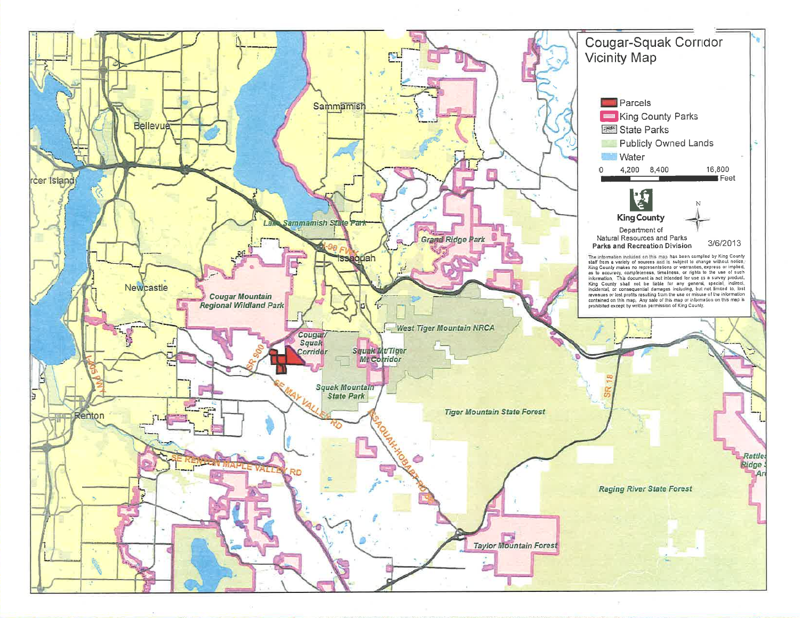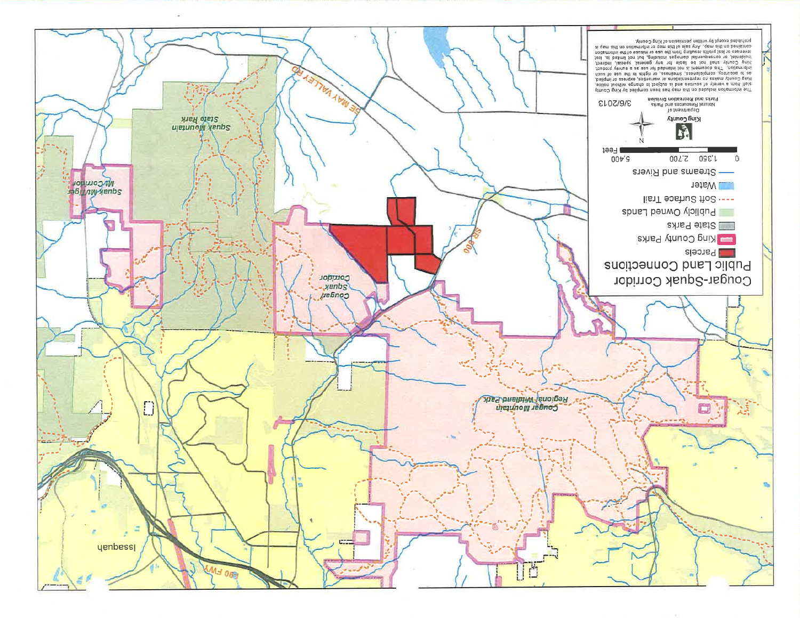